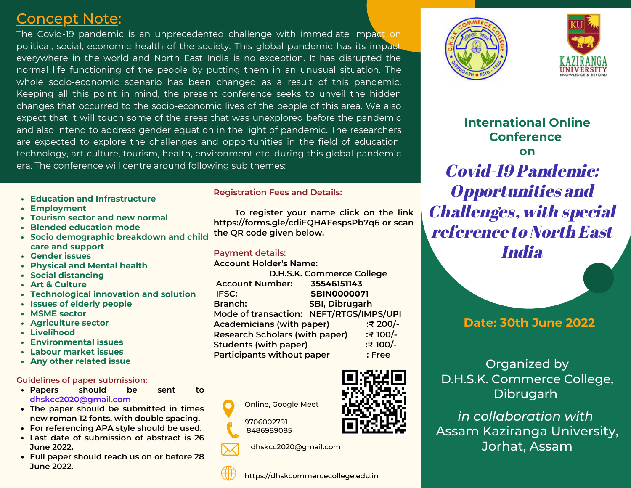# Concept Note:

The Covid-19 pandemic is an unprecedented challenge with immediate impact on political, social, economic health of the society. This global pandemic has its impact everywhere in the world and North East India is no exception. It has disrupted the normal life functioning of the people by putting them in an unusual situation. The whole socio-economic scenario has been changed as a result of this pandemic. Keeping all this point in mind, the present conference seeks to unveil the hidden changes that occurred to the socio-economic lives of the people of this area. We also expect that it will touch some of the areas that was unexplored before the pandemic and also intend to address gender equation in the light of pandemic. The researchers are expected to explore the challenges and opportunities in the field of education, technology, art-culture, tourism, health, environment etc. during this global pandemic era. The conference will centre around following sub themes:

- **Education and Infrastructure**
- **Employment**
- **Tourism sector and new normal**
- **Blended education mode**
- **Socio demographic breakdown and child care and support**
- **Gender issues**
- **Physical and Mental health**
- **Social distancing**
- **Art & Culture**
- **Technological innovation and solution**
- **Issues of elderly people**
- **MSME sector**
- **Agriculture sector**
- **Livelihood**
- **Environmental issues**
- **Labour market issues**
- **Any other related issue**

#### **Guidelines of paper submission:**

- **Papers should be sent to [dhskcc2020@gmail.com](mailto:dhskcc2020@gmail.com)**
- **The paper should be submitted in times new roman 12 fonts, with double spacing.**
- **For referencing APA style should be used.**
- **Last date of submission of abstract is 26 June 2022.**
- **Full paper should reach us on or before 28 June 2022.**

#### **Registration Fees and Details:**

**To register your name click on the link <https://forms.gle/cdiFQHAFespsPb7q6> or scan the QR code given below.**

### **Payment details:**

| Account Holder's Name:                  |                           |          |
|-----------------------------------------|---------------------------|----------|
|                                         | D.H.S.K. Commerce College |          |
| <b>Account Number:</b>                  | 35546151143               |          |
| IFSC:                                   | <b>SBIN0000071</b>        |          |
| <b>Branch:</b>                          | SBI, Dibrugarh            |          |
| Mode of transaction: NEFT/RTGS/IMPS/UPI |                           |          |
| <b>Academicians (with paper)</b>        |                           | :₹ 200/- |
| <b>Research Scholars (with paper)</b>   |                           | :₹ 100/- |
| <b>Students (with paper)</b>            |                           | :₹100/-  |
| <b>Participants without paper</b>       |                           | : Free   |
|                                         |                           |          |



dhskcc2020@gmail.com





Covid-19 Pandemic: Opportunities and Challenges, with special reference to North East **India International Online Conference on**

## **Date: 30th June 2022**

Organized by D.H.S.K. Commerce College, Dibrugarh

*in collaboration with* Assam Kaziranga University, Jorhat, Assam



8486989085